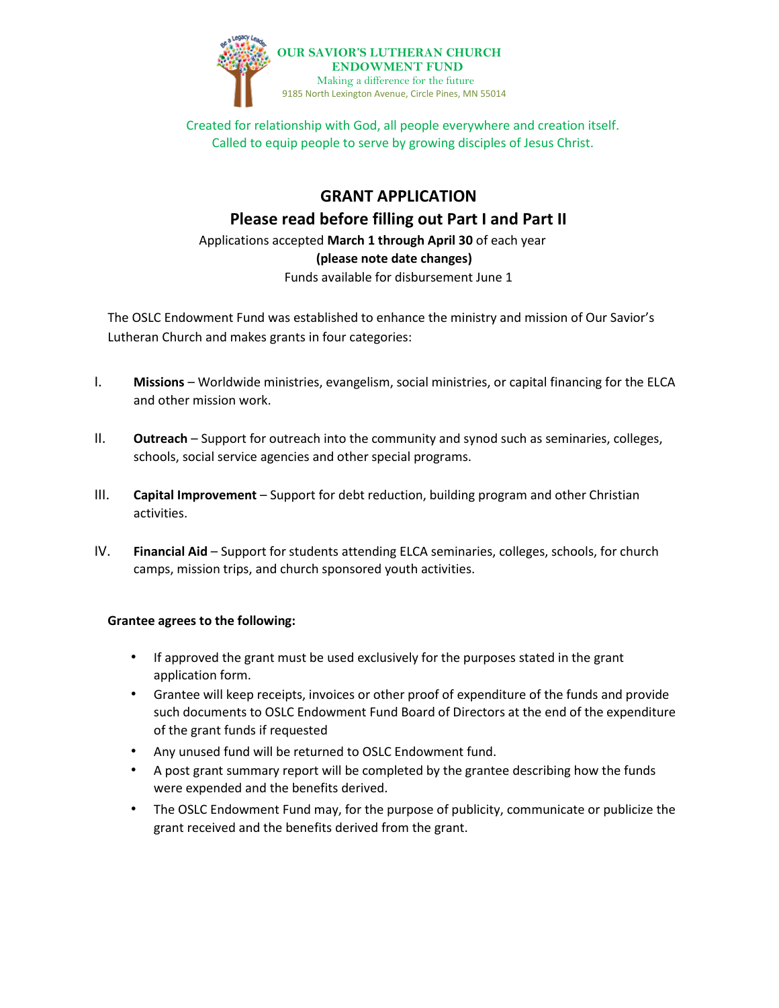

# **GRANT APPLICATION**

**Please read before filling out Part I and Part II** 

Applications accepted **March 1 through April 30** of each year  **(please note date changes)** Funds available for disbursement June 1

The OSLC Endowment Fund was established to enhance the ministry and mission of Our Savior's Lutheran Church and makes grants in four categories:

- I. **Missions** Worldwide ministries, evangelism, social ministries, or capital financing for the ELCA and other mission work.
- II. **Outreach** Support for outreach into the community and synod such as seminaries, colleges, schools, social service agencies and other special programs.
- III. **Capital Improvement** Support for debt reduction, building program and other Christian activities.
- IV. **Financial Aid** Support for students attending ELCA seminaries, colleges, schools, for church camps, mission trips, and church sponsored youth activities.

### **Grantee agrees to the following:**

- If approved the grant must be used exclusively for the purposes stated in the grant application form.
- Grantee will keep receipts, invoices or other proof of expenditure of the funds and provide such documents to OSLC Endowment Fund Board of Directors at the end of the expenditure of the grant funds if requested
- Any unused fund will be returned to OSLC Endowment fund.
- A post grant summary report will be completed by the grantee describing how the funds were expended and the benefits derived.
- The OSLC Endowment Fund may, for the purpose of publicity, communicate or publicize the grant received and the benefits derived from the grant.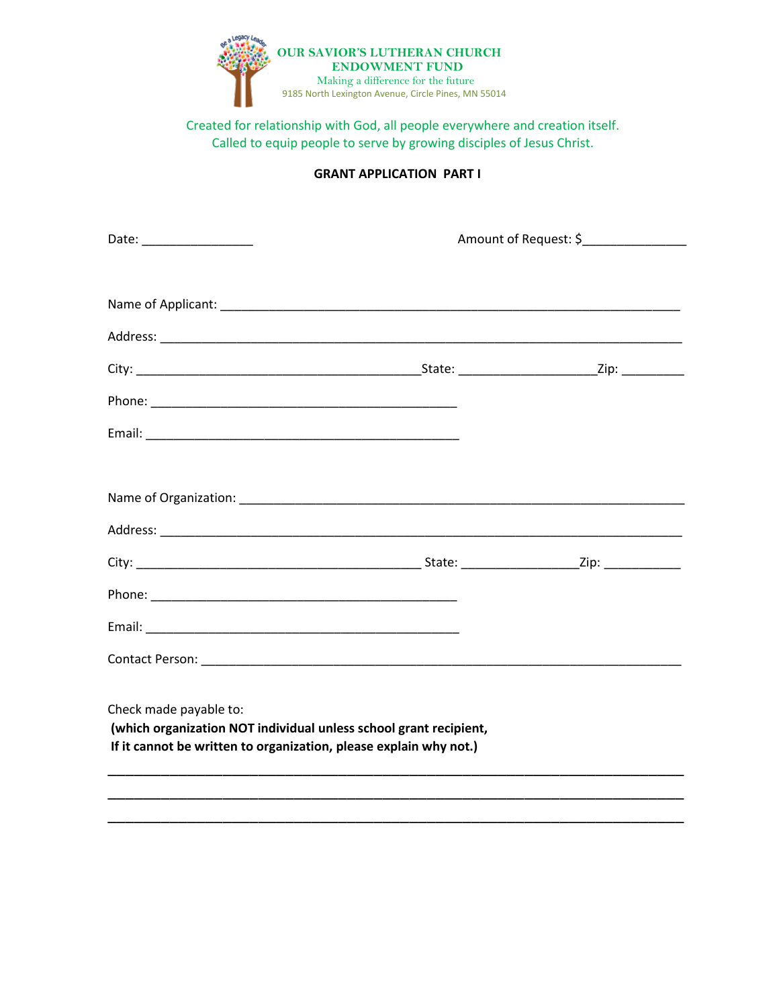

#### **GRANT APPLICATION PART I**

|                                                                                                                                                                  | Amount of Request: \$_______________ |  |
|------------------------------------------------------------------------------------------------------------------------------------------------------------------|--------------------------------------|--|
|                                                                                                                                                                  |                                      |  |
|                                                                                                                                                                  |                                      |  |
|                                                                                                                                                                  |                                      |  |
|                                                                                                                                                                  |                                      |  |
|                                                                                                                                                                  |                                      |  |
|                                                                                                                                                                  |                                      |  |
|                                                                                                                                                                  |                                      |  |
|                                                                                                                                                                  |                                      |  |
|                                                                                                                                                                  |                                      |  |
|                                                                                                                                                                  |                                      |  |
|                                                                                                                                                                  |                                      |  |
|                                                                                                                                                                  |                                      |  |
| Check made payable to:<br>(which organization NOT individual unless school grant recipient,<br>If it cannot be written to organization, please explain why not.) |                                      |  |
|                                                                                                                                                                  |                                      |  |
|                                                                                                                                                                  |                                      |  |

\_\_\_\_\_\_\_\_\_\_\_\_\_\_\_\_\_\_\_\_\_\_\_\_\_\_\_\_\_\_\_\_\_\_\_\_\_\_\_\_\_\_\_\_\_\_\_\_\_\_\_\_\_\_\_\_\_\_\_\_\_\_\_\_\_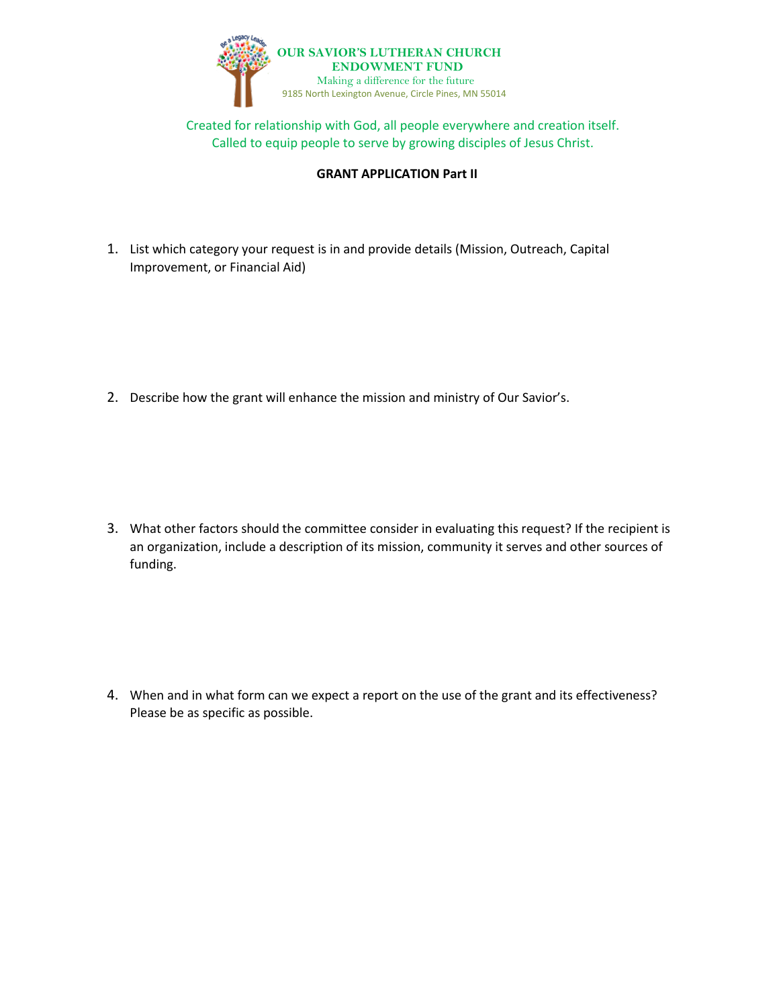

#### **GRANT APPLICATION Part II**

1. List which category your request is in and provide details (Mission, Outreach, Capital Improvement, or Financial Aid)

2. Describe how the grant will enhance the mission and ministry of Our Savior's.

3. What other factors should the committee consider in evaluating this request? If the recipient is an organization, include a description of its mission, community it serves and other sources of funding.

4. When and in what form can we expect a report on the use of the grant and its effectiveness? Please be as specific as possible.